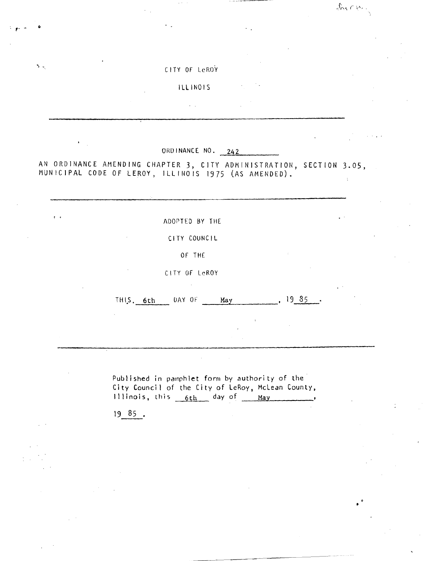|                                                                                                                             | CITY OF LeROY           |            |  |
|-----------------------------------------------------------------------------------------------------------------------------|-------------------------|------------|--|
|                                                                                                                             | <b>ILLINOIS</b>         |            |  |
|                                                                                                                             |                         |            |  |
|                                                                                                                             |                         |            |  |
| $\pmb{\ast}$                                                                                                                | ORDINANCE NO. 242       |            |  |
|                                                                                                                             |                         |            |  |
|                                                                                                                             |                         |            |  |
| 木工                                                                                                                          |                         |            |  |
|                                                                                                                             | ADOPTED BY THE          |            |  |
|                                                                                                                             | CITY COUNCIL            |            |  |
|                                                                                                                             | OF THE<br>CITY OF LeROY |            |  |
| AN ORDINANCE AMENDING CHAPTER 3, CITY ADMINISTRATION, SECTION 3.05,<br>MUNICIPAL CODE OF LEROY, ILLINOIS 1975 (AS AMENDED). | THIS 6th DAY OF May     | $, 1935$ . |  |

 $\mathcal{L}_{\mathcal{M}} \cap \mathcal{C}_{\mathcal{M}}$ 

Published in pamphlet form by authority of the City Council of the City of LeRoy, McLean County, Illinois, this <u>6th day of May</u>

 $19 85$ .

 $\sim$ 

 $\mathbf{r}$   $\mathbf{r}$  6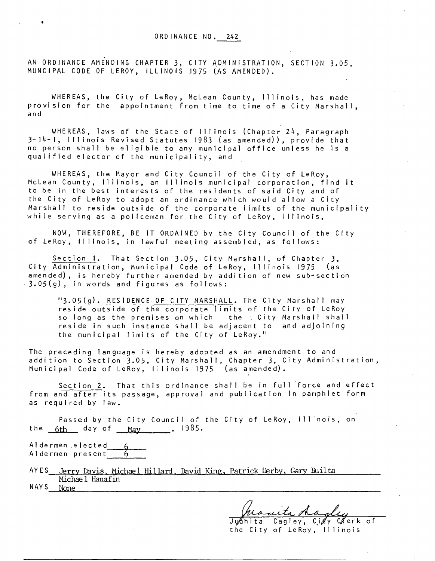AN ORDINANCE AMENDING CHAPTER 3, CITY ADMINISTRATION, SECTION 3.05, MUNCIPAL CODE OF LEROY, ILLINOIS 1975 (AS AMENDED).

WHEREAS, the City of LeRoy, McLean County, Illinois, has made provision for the appointment from time to time of a City Marshall, and

WHEREAS, laws of the State of Illinois (Chapter 24, Paragraph 3-14-1, Illinois Revised Statutes 1983 (as amended)), provide that no person shall be eligible to any municipal office unless he is a qualified elector of the municipality, and

WHEREAS, the Mayor and City Council of the City of LeRoy, McLean County, Illinois, an Illinois municipal corporation, find it to be in the best interests of the residents of said City and of the City of LeRoy to adopt an ordinance which would allow a City Marshall to reside outside of the corporate limits of the municipality while serving as a policeman for the City of LeRoy, Illinois,

NOW, THEREFORE, BE IT ORDAINED by the City Council of the City of LeRoy, Illinois, in lawful meeting assembled, as follows:

Section 1. That Section 3.05, City Marshall, of Chapter 3, City Administration, Municipal Code of LeRoy, Illinois 1975 (as amended), is hereby further amended by addition of new sub-section 3.05(g), in words and figures as follows:

"3.05(g). RESIDENCE OF CITY MARSHALL. The City Marshall may reside outside of the corporate limits of the City of LeRoy so long as the premises on which the City Marshall shall reside in such instance shall be adjacent to and adjoining the municipal limits of the City of LeRoy."

The preceding language is hereby adopted as an amendment to and addition to Section 3.05, City Marshall, Chapter 3, City Administration, Municipal Code of LeRoy, Illinois 1975 (as amended).

Section 2. That this ordinance shall be in full force and effect from and after its passage, approval and publication in pamphlet form as required by law.

Passed by the City Council of the City of LeRoy, Illinois, on the  $6th$  day of  $\frac{May}{day}$ , 1985.

Aldermen.elected\_\_\_<u>6</u> Aldermen present <mark>\_\_\_\_\_\_6</mark>

AYES Jerry Davis, Michael Hillard, David King, Patrick Derby, Gary Builta Michae 1 Hanafin NAYS None

Juanita dagley

the City of LeRoy, Illinois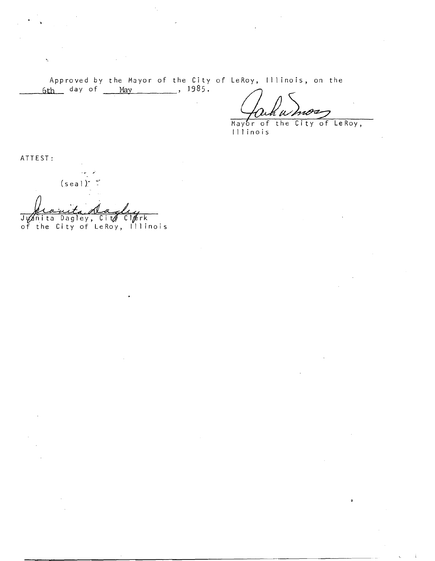Approved by the Mayor of the City of LeRoy, Illinois, on the<br>6th day of <u>May</u>, 1985.

Mayor of the City of LeRoy, Illinois

ATTEST:

 $\hat{\gamma}$ 

 $(sea!)$ 

Juanita Dagley, City Clerk<br>of the City of LeRoy, Illinois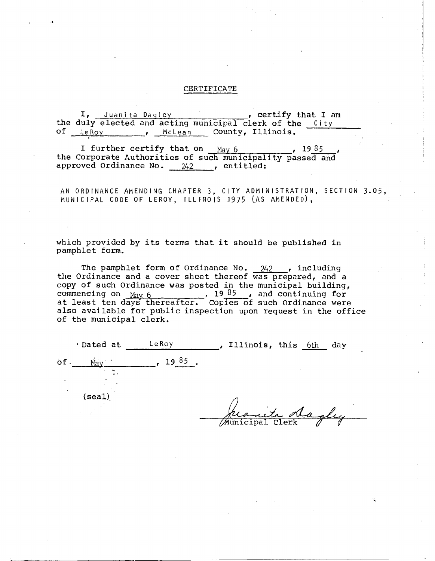## CERTIFICATE

I, Juanita Dagley , certify that I am the duly elected and acting municipal clerk of the City of LeRoy, , McLean County, Illinois.

f

I further certify that on  $\frac{May 6}{g}$ ,  $\frac{1935}{g}$ , the Corporate Authorities of such municipality passed and approved Ordinance No. <sup>242</sup> , entitled:

AN ORDINANCE AMENDING CHAPTER 3, CITY ADMINISTRATION, SECTION 3.05, MUNICIPAL CODE OF LEROY, ILLINOIS 1975 (AS AMENDED),

which provided by its terms that it should be published in pamphlet form.

The pamphlet form of Ordinance No.  $242$ , including the Ordinance and a cover sheet thereof was prepared, and a copy of such Ordinance was posted in the municipal building, commencing on  $\frac{May}{day}$  6  $\frac{19\,85}{day}$ , and continuing for at least ten days thereafter. Copies of such Ordinance were also available for public inspection upon request in the office of the municipal clerk.

| · Dated at   | LeRoy | , Illinois, this 6th<br>day |
|--------------|-------|-----------------------------|
| of.<br>Mav   | 1985  |                             |
| $\mathbf{e}$ |       |                             |
| (scal)       |       |                             |
|              |       | ta da alu                   |
|              |       | Mùnicipal Clerk             |